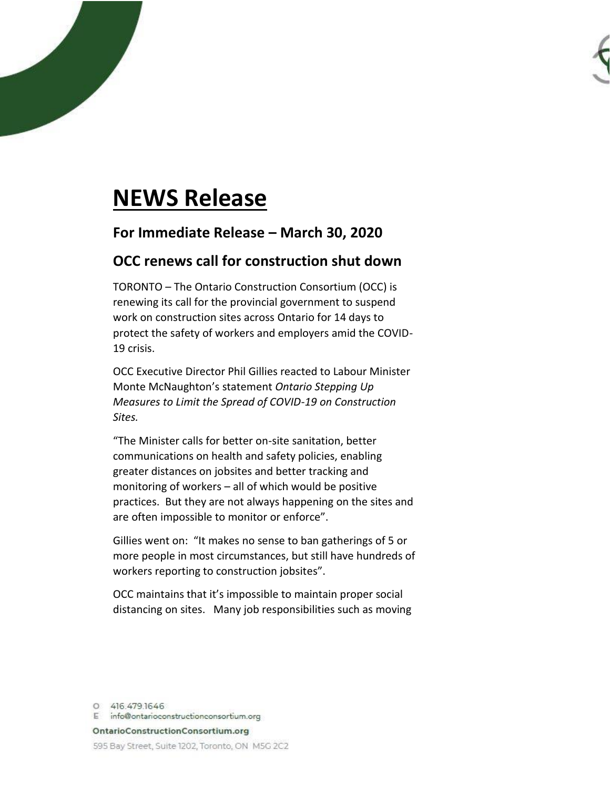## **NEWS Release**

## **For Immediate Release – March 30, 2020**

## **OCC renews call for construction shut down**

TORONTO – The Ontario Construction Consortium (OCC) is renewing its call for the provincial government to suspend work on construction sites across Ontario for 14 days to protect the safety of workers and employers amid the COVID-19 crisis.

OCC Executive Director Phil Gillies reacted to Labour Minister Monte McNaughton's statement *Ontario Stepping Up Measures to Limit the Spread of COVID-19 on Construction Sites.* 

"The Minister calls for better on-site sanitation, better communications on health and safety policies, enabling greater distances on jobsites and better tracking and monitoring of workers – all of which would be positive practices. But they are not always happening on the sites and are often impossible to monitor or enforce".

Gillies went on: "It makes no sense to ban gatherings of 5 or more people in most circumstances, but still have hundreds of workers reporting to construction jobsites".

OCC maintains that it's impossible to maintain proper social distancing on sites. Many job responsibilities such as moving

0 416.479.1646 E info@ontarioconstructionconsortium.org OntarioConstructionConsortium.org 595 Bay Street, Suite 1202, Toronto, ON M5G 2C2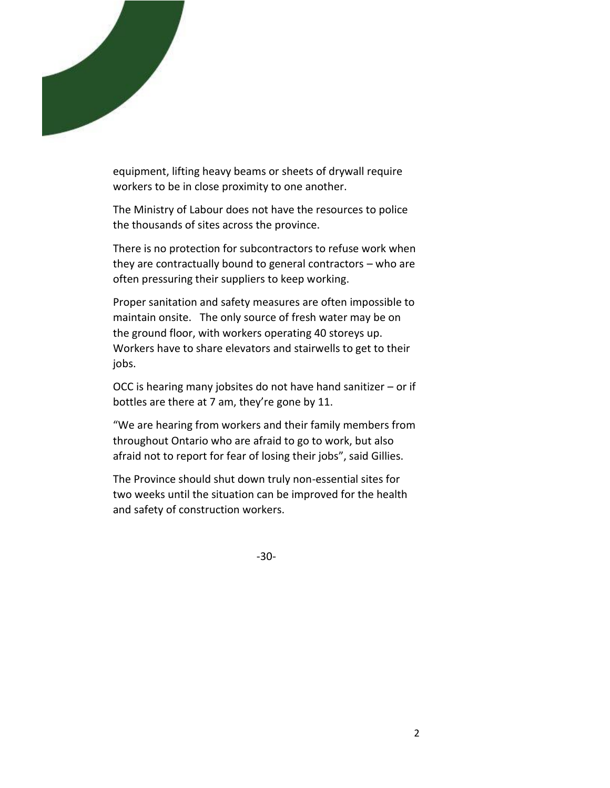

equipment, lifting heavy beams or sheets of drywall require workers to be in close proximity to one another.

The Ministry of Labour does not have the resources to police the thousands of sites across the province.

There is no protection for subcontractors to refuse work when they are contractually bound to general contractors – who are often pressuring their suppliers to keep working.

Proper sanitation and safety measures are often impossible to maintain onsite. The only source of fresh water may be on the ground floor, with workers operating 40 storeys up. Workers have to share elevators and stairwells to get to their jobs.

OCC is hearing many jobsites do not have hand sanitizer – or if bottles are there at 7 am, they're gone by 11.

"We are hearing from workers and their family members from throughout Ontario who are afraid to go to work, but also afraid not to report for fear of losing their jobs", said Gillies.

The Province should shut down truly non-essential sites for two weeks until the situation can be improved for the health and safety of construction workers.

-30-